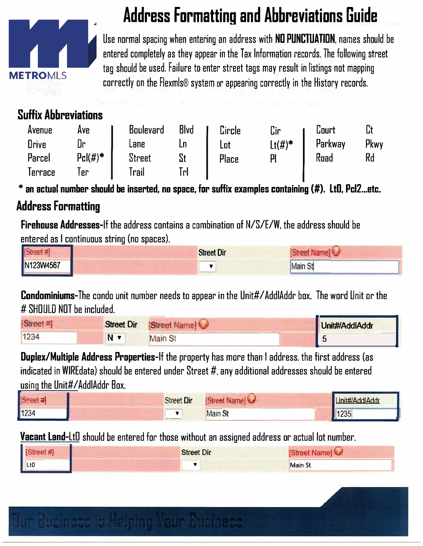

## **Address Formatting and Abbreviations Guide**

Use normal spacing when entering an address with ND PUNCTUATION, names should be entered completely as they appear in the Tax Information records. The following street tag should be used. Failure to enter street tags may result in listings not mapping correctly on the Flexmls® system or appearing correctly in the History records.

## **Suffix Abbreviations**

| Avenue<br>Drive<br>Parcel | Ave<br>Dr<br>$Pc (#)^*$ | <b>Boulevard</b><br>Lane<br><b>Street</b> | <b>Blvd</b><br>St | Circle<br>Lot<br>Place | Cir<br>$Lt(\#)^*$<br>pi | Lourt<br>Parkway<br>Road | Pkwy<br>Rd |
|---------------------------|-------------------------|-------------------------------------------|-------------------|------------------------|-------------------------|--------------------------|------------|
| lerrace                   | l er                    | Trail                                     | TгI               |                        |                         |                          |            |

 $*$  an actual number should be inserted, no space, for suffix examples containing  $(\#)$ . LtO, Pcl2...etc.

## **Address Formatting**

Firehouse Addresses-If the address contains a combination of N/S/E/W, the address should be entered as I continuous string (no spaces}.

| <b>ISt</b> | <b>Street Dir</b> |         |
|------------|-------------------|---------|
| N123W4567  |                   | Main St |

# SHOULD NOT be included.

|                           |                   | <b>Condominiums-</b> The condo unit number needs to appear in the Unit#/AddIAddr box. The word Unit or the |               |
|---------------------------|-------------------|------------------------------------------------------------------------------------------------------------|---------------|
| # SHOULD NOT be included. |                   |                                                                                                            |               |
| [Street#]                 | <b>Street Dir</b> | Street Name                                                                                                | Unit#AddlAddr |
| 1234                      | N T               | <b>Main St</b>                                                                                             |               |

Duplex/Multiple Address Properties-If the property has more than I address. the first address (as indicated in WIREdata) should be entered under Street #. any additional addresses should be entered using the Unit#/AddlAddr Box.

| <b>Street Dir</b> | <b>Street Names</b> | Unit#/AddlAddr |
|-------------------|---------------------|----------------|
| $ -$              | <b>Main St</b>      | 1235           |
|                   |                     |                |

Vacant Land-LtD should be entered for those without an assigned address or actual lot number.

| [Street #] | <b>Street Dir</b> | [Street Name]  |  |
|------------|-------------------|----------------|--|
| Lto        |                   | <b>Main St</b> |  |